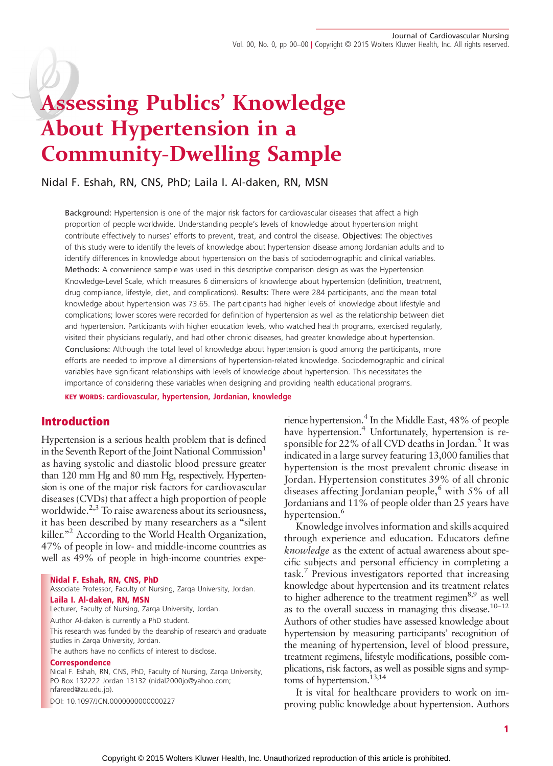# Assessing Publics' Knowledge About Hypertension in a Community-Dwelling Sample

Nidal F. Eshah, RN, CNS, PhD; Laila I. Al-daken, RN, MSN

Background: Hypertension is one of the major risk factors for cardiovascular diseases that affect a high proportion of people worldwide. Understanding people's levels of knowledge about hypertension might contribute effectively to nurses' efforts to prevent, treat, and control the disease. Objectives: The objectives of this study were to identify the levels of knowledge about hypertension disease among Jordanian adults and to identify differences in knowledge about hypertension on the basis of sociodemographic and clinical variables. Methods: A convenience sample was used in this descriptive comparison design as was the Hypertension Knowledge-Level Scale, which measures 6 dimensions of knowledge about hypertension (definition, treatment, drug compliance, lifestyle, diet, and complications). Results: There were 284 participants, and the mean total knowledge about hypertension was 73.65. The participants had higher levels of knowledge about lifestyle and complications; lower scores were recorded for definition of hypertension as well as the relationship between diet and hypertension. Participants with higher education levels, who watched health programs, exercised regularly, visited their physicians regularly, and had other chronic diseases, had greater knowledge about hypertension. Conclusions: Although the total level of knowledge about hypertension is good among the participants, more efforts are needed to improve all dimensions of hypertension-related knowledge. Sociodemographic and clinical variables have significant relationships with levels of knowledge about hypertension. This necessitates the importance of considering these variables when designing and providing health educational programs.

KEY WORDS: cardiovascular, hypertension, Jordanian, knowledge

# Introduction

Hypertension is a serious health problem that is defined in the Seventh Report of the Joint National Commission<sup>1</sup> as having systolic and diastolic blood pressure greater than 120 mm Hg and 80 mm Hg, respectively. Hypertension is one of the major risk factors for cardiovascular diseases (CVDs) that affect a high proportion of people worldwide.<sup>2,3</sup> To raise awareness about its seriousness, it has been described by many researchers as a ''silent killer."<sup>2</sup> According to the World Health Organization, 47% of people in low- and middle-income countries as well as 49% of people in high-income countries expe-

#### Nidal F. Eshah, RN, CNS, PhD

Associate Professor, Faculty of Nursing, Zarqa University, Jordan. Laila I. Al-daken, RN, MSN Lecturer, Faculty of Nursing, Zarqa University, Jordan. Author Al-daken is currently a PhD student. This research was funded by the deanship of research and graduate studies in Zarqa University, Jordan. The authors have no conflicts of interest to disclose. **Correspondence** Nidal F. Eshah, RN, CNS, PhD, Faculty of Nursing, Zarqa University, PO Box 132222 Jordan 13132 (nidal2000jo@yahoo.com; nfareed@zu.edu.jo).

DOI: 10.1097/JCN.0000000000000227

rience hypertension.4 In the Middle East, 48% of people have hypertension.<sup>4</sup> Unfortunately, hypertension is responsible for 22% of all CVD deaths in Jordan.<sup>5</sup> It was indicated in a large survey featuring 13,000 families that hypertension is the most prevalent chronic disease in Jordan. Hypertension constitutes 39% of all chronic diseases affecting Jordanian people,<sup>6</sup> with 5% of all Jordanians and 11% of people older than 25 years have hypertension.<sup>6</sup>

Knowledge involves information and skills acquired through experience and education. Educators define knowledge as the extent of actual awareness about specific subjects and personal efficiency in completing a task.7 Previous investigators reported that increasing knowledge about hypertension and its treatment relates to higher adherence to the treatment regimen $8.9$  as well as to the overall success in managing this disease. $10-12$ Authors of other studies have assessed knowledge about hypertension by measuring participants' recognition of the meaning of hypertension, level of blood pressure, treatment regimens, lifestyle modifications, possible complications, risk factors, as well as possible signs and symptoms of hypertension.<sup>13,14</sup>

It is vital for healthcare providers to work on improving public knowledge about hypertension. Authors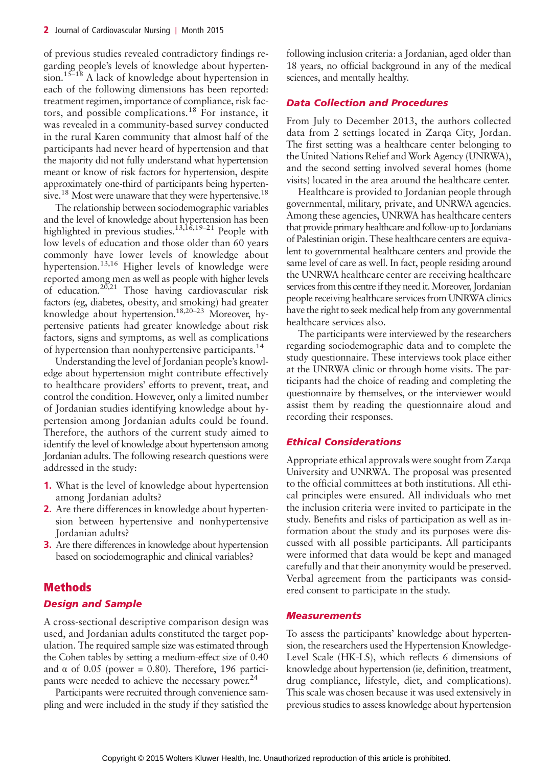of previous studies revealed contradictory findings regarding people's levels of knowledge about hyperten- $\sinh^{-15-18}$  A lack of knowledge about hypertension in each of the following dimensions has been reported: treatment regimen, importance of compliance, risk factors, and possible complications.<sup>18</sup> For instance, it was revealed in a community-based survey conducted in the rural Karen community that almost half of the participants had never heard of hypertension and that the majority did not fully understand what hypertension meant or know of risk factors for hypertension, despite approximately one-third of participants being hypertensive.<sup>18</sup> Most were unaware that they were hypertensive.<sup>18</sup>

The relationship between sociodemographic variables and the level of knowledge about hypertension has been<br>highlighted in previous studies.<sup>13,16,19–21</sup> People with low levels of education and those older than 60 years commonly have lower levels of knowledge about hypertension.<sup>13,16</sup> Higher levels of knowledge were reported among men as well as people with higher levels of education.<sup>20,21</sup> Those having cardiovascular risk factors (eg, diabetes, obesity, and smoking) had greater knowledge about hypertension.<sup>18,20-23</sup> Moreover, hypertensive patients had greater knowledge about risk factors, signs and symptoms, as well as complications of hypertension than nonhypertensive participants.<sup>14</sup>

Understanding the level of Jordanian people's knowledge about hypertension might contribute effectively to healthcare providers' efforts to prevent, treat, and control the condition. However, only a limited number of Jordanian studies identifying knowledge about hypertension among Jordanian adults could be found. Therefore, the authors of the current study aimed to identify the level of knowledge about hypertension among Jordanian adults. The following research questions were addressed in the study:

- 1. What is the level of knowledge about hypertension among Jordanian adults?
- **2.** Are there differences in knowledge about hypertension between hypertensive and nonhypertensive Jordanian adults?
- 3. Are there differences in knowledge about hypertension based on sociodemographic and clinical variables?

# Methods

#### Design and Sample

A cross-sectional descriptive comparison design was used, and Jordanian adults constituted the target population. The required sample size was estimated through the Cohen tables by setting a medium-effect size of 0.40 and  $\alpha$  of 0.05 (power = 0.80). Therefore, 196 participants were needed to achieve the necessary power.<sup>24</sup>

Participants were recruited through convenience sampling and were included in the study if they satisfied the following inclusion criteria: a Jordanian, aged older than 18 years, no official background in any of the medical sciences, and mentally healthy.

## Data Collection and Procedures

From July to December 2013, the authors collected data from 2 settings located in Zarqa City, Jordan. The first setting was a healthcare center belonging to the United Nations Relief and Work Agency (UNRWA), and the second setting involved several homes (home visits) located in the area around the healthcare center.

Healthcare is provided to Jordanian people through governmental, military, private, and UNRWA agencies. Among these agencies, UNRWA has healthcare centers that provide primary healthcare and follow-up to Jordanians of Palestinian origin. These healthcare centers are equivalent to governmental healthcare centers and provide the same level of care as well. In fact, people residing around the UNRWA healthcare center are receiving healthcare services from this centre if they need it. Moreover, Jordanian people receiving healthcare services from UNRWA clinics have the right to seek medical help from any governmental healthcare services also.

The participants were interviewed by the researchers regarding sociodemographic data and to complete the study questionnaire. These interviews took place either at the UNRWA clinic or through home visits. The participants had the choice of reading and completing the questionnaire by themselves, or the interviewer would assist them by reading the questionnaire aloud and recording their responses.

#### Ethical Considerations

Appropriate ethical approvals were sought from Zarqa University and UNRWA. The proposal was presented to the official committees at both institutions. All ethical principles were ensured. All individuals who met the inclusion criteria were invited to participate in the study. Benefits and risks of participation as well as information about the study and its purposes were discussed with all possible participants. All participants were informed that data would be kept and managed carefully and that their anonymity would be preserved. Verbal agreement from the participants was considered consent to participate in the study.

#### **Measurements**

To assess the participants' knowledge about hypertension, the researchers used the Hypertension Knowledge-Level Scale (HK-LS), which reflects 6 dimensions of knowledge about hypertension (ie, definition, treatment, drug compliance, lifestyle, diet, and complications). This scale was chosen because it was used extensively in previous studies to assess knowledge about hypertension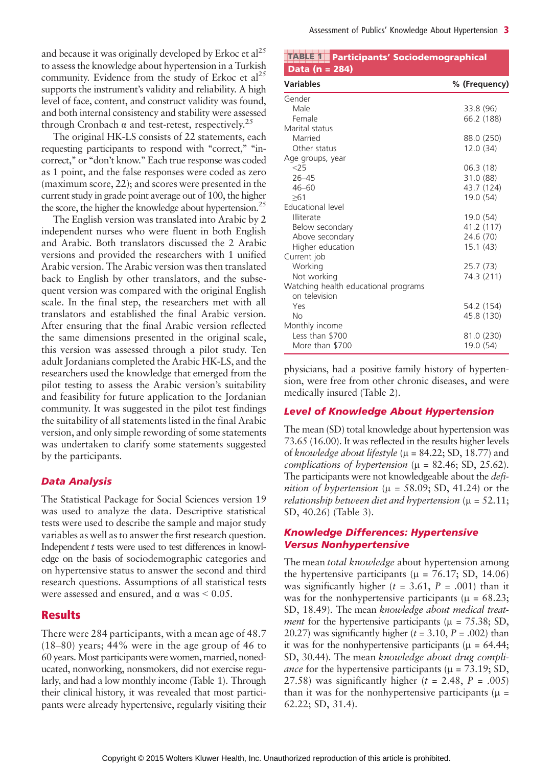and because it was originally developed by Erkoc et  $al^{25}$ to assess the knowledge about hypertension in a Turkish community. Evidence from the study of Erkoc et  $al^{25}$ supports the instrument's validity and reliability. A high level of face, content, and construct validity was found, and both internal consistency and stability were assessed through Cronbach  $\alpha$  and test-retest, respectively.<sup>25</sup>

The original HK-LS consists of 22 statements, each requesting participants to respond with "correct," "incorrect,'' or ''don't know.'' Each true response was coded as 1 point, and the false responses were coded as zero (maximum score, 22); and scores were presented in the current study in grade point average out of 100, the higher the score, the higher the knowledge about hypertension.<sup>25</sup>

The English version was translated into Arabic by 2 independent nurses who were fluent in both English and Arabic. Both translators discussed the 2 Arabic versions and provided the researchers with 1 unified Arabic version. The Arabic version was then translated back to English by other translators, and the subsequent version was compared with the original English scale. In the final step, the researchers met with all translators and established the final Arabic version. After ensuring that the final Arabic version reflected the same dimensions presented in the original scale, this version was assessed through a pilot study. Ten adult Jordanians completed the Arabic HK-LS, and the researchers used the knowledge that emerged from the pilot testing to assess the Arabic version's suitability and feasibility for future application to the Jordanian community. It was suggested in the pilot test findings the suitability of all statements listed in the final Arabic version, and only simple rewording of some statements was undertaken to clarify some statements suggested by the participants.

## Data Analysis

The Statistical Package for Social Sciences version 19 was used to analyze the data. Descriptive statistical tests were used to describe the sample and major study variables as well as to answer the first research question. Independent t tests were used to test differences in knowledge on the basis of sociodemographic categories and on hypertensive status to answer the second and third research questions. Assumptions of all statistical tests were assessed and ensured, and  $\alpha$  was  $\leq 0.05$ .

## Results

There were 284 participants, with a mean age of 48.7  $(18-80)$  years; 44% were in the age group of 46 to 60 years. Most participants were women, married, noneducated, nonworking, nonsmokers, did not exercise regularly, and had a low monthly income (Table 1). Through their clinical history, it was revealed that most participants were already hypertensive, regularly visiting their

| <b>Participants' Sociodemographical</b><br>Data (n = 284) |               |
|-----------------------------------------------------------|---------------|
| <b>Variables</b>                                          | % (Frequency) |
| Gender                                                    |               |
| Male                                                      | 33.8 (96)     |
| Female                                                    | 66.2 (188)    |
| Marital status                                            |               |
| Married                                                   | 88.0 (250)    |
| Other status                                              | 12.0(34)      |
| Age groups, year                                          |               |
| <25                                                       | 06.3(18)      |
| $26 - 45$                                                 | 31.0 (88)     |
| $46 - 60$                                                 | 43.7 (124)    |
| >61                                                       | 19.0 (54)     |
| Educational level                                         |               |
| Illiterate                                                | 19.0 (54)     |
| Below secondary                                           | 41.2 (117)    |
| Above secondary                                           | 24.6 (70)     |
| Higher education                                          | 15.1 (43)     |
| Current job                                               |               |
| Working                                                   | 25.7(73)      |
| Not working                                               | 74.3 (211)    |
| Watching health educational programs                      |               |
| on television                                             |               |
| Yes                                                       | 54.2 (154)    |
| No                                                        | 45.8 (130)    |
| Monthly income                                            |               |
| Less than \$700                                           | 81.0 (230)    |
| More than \$700                                           | 19.0 (54)     |

physicians, had a positive family history of hypertension, were free from other chronic diseases, and were medically insured (Table 2).

#### Level of Knowledge About Hypertension

The mean (SD) total knowledge about hypertension was 73.65 (16.00). It was reflected in the results higher levels of knowledge about lifestyle ( $\mu$  = 84.22; SD, 18.77) and complications of hypertension ( $\mu = 82.46$ ; SD, 25.62). The participants were not knowledgeable about the *defi*nition of hypertension ( $\mu = 58.09$ ; SD, 41.24) or the relationship between diet and hypertension ( $\mu = 52.11$ ; SD, 40.26) (Table 3).

#### Knowledge Differences: Hypertensive Versus Nonhypertensive

The mean *total knowledge* about hypertension among the hypertensive participants ( $\mu$  = 76.17; SD, 14.06) was significantly higher ( $t = 3.61$ ,  $P = .001$ ) than it was for the nonhypertensive participants ( $\mu = 68.23$ ; SD, 18.49). The mean knowledge about medical treat*ment* for the hypertensive participants ( $\mu$  = 75.38; SD, 20.27) was significantly higher ( $t = 3.10$ ,  $P = .002$ ) than it was for the nonhypertensive participants ( $\mu = 64.44$ ; SD, 30.44). The mean knowledge about drug compli*ance* for the hypertensive participants ( $\mu$  = 73.19; SD, 27.58) was significantly higher  $(t = 2.48, P = .005)$ than it was for the nonhypertensive participants ( $\mu$  = 62.22; SD, 31.4).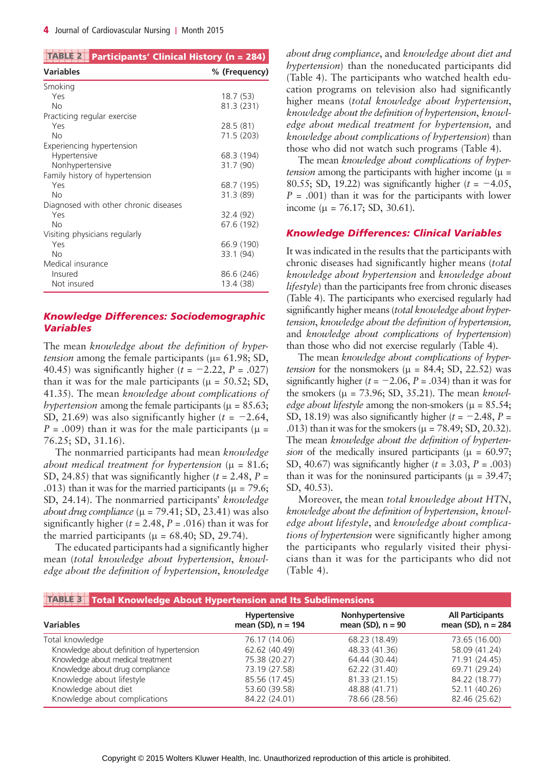| <b>TABLE 2</b><br><b>Participants' Clinical History (n = 284)</b> |               |
|-------------------------------------------------------------------|---------------|
| <b>Variables</b>                                                  | % (Frequency) |
| Smoking                                                           |               |
| Yes                                                               | 18.7 (53)     |
| No                                                                | 81.3 (231)    |
| Practicing regular exercise                                       |               |
| Yes                                                               | 28.5 (81)     |
| Nο                                                                | 71.5 (203)    |
| Experiencing hypertension                                         |               |
| Hypertensive                                                      | 68.3 (194)    |
| Nonhypertensive                                                   | 31.7 (90)     |
| Family history of hypertension                                    |               |
| Yes                                                               | 68.7 (195)    |
| No                                                                | 31.3(89)      |
| Diagnosed with other chronic diseases                             |               |
| Yes                                                               | 32.4 (92)     |
| <b>No</b>                                                         | 67.6 (192)    |
| Visiting physicians regularly                                     |               |
| Yes                                                               | 66.9 (190)    |
| No                                                                | 33.1 (94)     |
| Medical insurance                                                 |               |
| Insured                                                           | 86.6 (246)    |
| Not insured                                                       | 13.4 (38)     |

## Knowledge Differences: Sociodemographic Variables

The mean knowledge about the definition of hyper*tension* among the female participants ( $\mu$ = 61.98; SD, 40.45) was significantly higher  $(t = -2.22, P = .027)$ than it was for the male participants ( $\mu = 50.52$ ; SD, 41.35). The mean knowledge about complications of hypertension among the female participants ( $\mu = 85.63$ ; SD, 21.69) was also significantly higher  $(t = -2.64,$  $P = .009$ ) than it was for the male participants ( $\mu =$ 76.25; SD, 31.16).

The nonmarried participants had mean knowledge about medical treatment for hypertension ( $\mu = 81.6$ ; SD, 24.85) that was significantly higher  $(t = 2.48, P =$ .013) than it was for the married participants ( $\mu$  = 79.6; SD, 24.14). The nonmarried participants' knowledge about drug compliance ( $\mu$  = 79.41; SD, 23.41) was also significantly higher ( $t = 2.48$ ,  $P = .016$ ) than it was for the married participants ( $\mu = 68.40$ ; SD, 29.74).

The educated participants had a significantly higher mean (total knowledge about hypertension, knowledge about the definition of hypertension, knowledge

about drug compliance, and knowledge about diet and hypertension) than the noneducated participants did (Table 4). The participants who watched health education programs on television also had significantly higher means *(total knowledge about hypertension*, knowledge about the definition of hypertension, knowledge about medical treatment for hypertension, and knowledge about complications of hypertension) than those who did not watch such programs (Table 4).

The mean knowledge about complications of hyper*tension* among the participants with higher income ( $\mu$  = 80.55; SD, 19.22) was significantly higher  $(t = -4.05$ ,  $P = .001$ ) than it was for the participants with lower income ( $\mu$  = 76.17; SD, 30.61).

#### Knowledge Differences: Clinical Variables

It was indicated in the results that the participants with chronic diseases had significantly higher means (total knowledge about hypertension and knowledge about lifestyle) than the participants free from chronic diseases (Table 4). The participants who exercised regularly had significantly higher means (total knowledge about hypertension, knowledge about the definition of hypertension, and knowledge about complications of hypertension) than those who did not exercise regularly (Table 4).

The mean knowledge about complications of hyper*tension* for the nonsmokers ( $\mu$  = 84.4; SD, 22.52) was significantly higher ( $t = -2.06$ ,  $P = .034$ ) than it was for the smokers ( $\mu$  = 73.96; SD, 35.21). The mean knowl*edge about lifestyle* among the non-smokers ( $\mu = 85.54$ ; SD, 18.19) was also significantly higher ( $t = -2.48$ ,  $P =$ .013) than it was for the smokers ( $\mu$  = 78.49; SD, 20.32). The mean knowledge about the definition of hypertension of the medically insured participants ( $\mu = 60.97$ ; SD, 40.67) was significantly higher  $(t = 3.03, P = .003)$ than it was for the noninsured participants ( $\mu = 39.47$ ; SD, 40.53).

Moreover, the mean total knowledge about HTN, knowledge about the definition of hypertension, knowledge about lifestyle, and knowledge about complications of hypertension were significantly higher among the participants who regularly visited their physicians than it was for the participants who did not (Table 4).

| <b>TABLEB</b> Total Knowledge About Hypertension and Its Subdimensions |                                             |                                               |                                                 |
|------------------------------------------------------------------------|---------------------------------------------|-----------------------------------------------|-------------------------------------------------|
| <b>Variables</b>                                                       | <b>Hypertensive</b><br>mean (SD), $n = 194$ | <b>Nonhypertensive</b><br>mean (SD), $n = 90$ | <b>All Participants</b><br>mean (SD), $n = 284$ |
| Total knowledge                                                        | 76.17 (14.06)                               | 68.23 (18.49)                                 | 73.65 (16.00)                                   |
| Knowledge about definition of hypertension                             | 62.62 (40.49)                               | 48.33 (41.36)                                 | 58.09 (41.24)                                   |
| Knowledge about medical treatment                                      | 75.38 (20.27)                               | 64.44 (30.44)                                 | 71.91 (24.45)                                   |
| Knowledge about drug compliance                                        | 73.19 (27.58)                               | 62.22 (31.40)                                 | 69.71 (29.24)                                   |
| Knowledge about lifestyle                                              | 85.56 (17.45)                               | 81.33 (21.15)                                 | 84.22 (18.77)                                   |
| Knowledge about diet                                                   | 53.60 (39.58)                               | 48.88 (41.71)                                 | 52.11 (40.26)                                   |
| Knowledge about complications                                          | 84.22 (24.01)                               | 78.66 (28.56)                                 | 82.46 (25.62)                                   |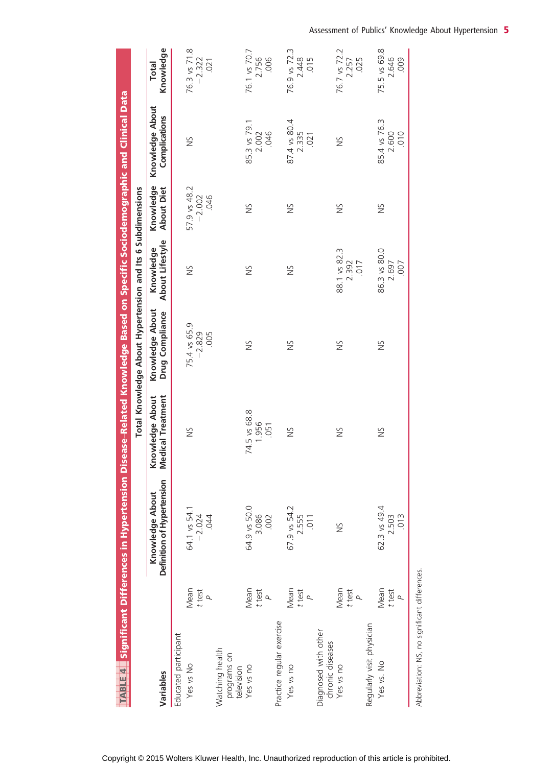|                                               |                            | <u> IABLEA</u> L Significant Differences in Hypertension Disease–Related Knowledge Based on Specific Sociodemographic and Clinical Data |                                             |                                                            |                               |                                  |                                  |                                 |
|-----------------------------------------------|----------------------------|-----------------------------------------------------------------------------------------------------------------------------------------|---------------------------------------------|------------------------------------------------------------|-------------------------------|----------------------------------|----------------------------------|---------------------------------|
|                                               |                            |                                                                                                                                         |                                             | Total Knowledge About Hypertension and Its 6 Subdimensions |                               |                                  |                                  |                                 |
| Variables                                     |                            | Definition of Hypertension<br>Knowledge About                                                                                           | <b>Medical Treatment</b><br>Knowledge About | Knowledge About<br>Drug Compliance                         | About Lifestyle<br>Knowledge  | Knowledge<br><b>About Diet</b>   | Knowledge About<br>Complications | Knowledge<br>Total              |
| Educated participant                          |                            |                                                                                                                                         |                                             |                                                            |                               |                                  |                                  |                                 |
| Yes vs No                                     | Mean<br>t test<br>$\rho$   | 64.1 vs 54.1<br>$-2.024$<br>044                                                                                                         | Š                                           | 75.4 vs 65.9<br>$-2.829$<br>.005                           | ŠN                            | $57.9$ vs 48.2<br>-2.002<br>.046 | Š                                | 76.3 vs 71.8<br>$-2.322$<br>021 |
| Watching health<br>programs on<br>television  |                            |                                                                                                                                         |                                             |                                                            |                               |                                  |                                  |                                 |
| Yes vs no                                     | Mean                       | 64.9 vs 50.0<br>3.086                                                                                                                   | 74.5 vs 68.8<br>1.956                       | Š                                                          | Š                             | Š                                | 85.3 vs 79.1<br>2.002            | 76.1 vs 70.7                    |
|                                               | t test<br>$\rho$           | 002                                                                                                                                     | 051                                         |                                                            |                               |                                  | .046                             | 2.756                           |
| Practice regular exercise                     |                            |                                                                                                                                         |                                             |                                                            |                               |                                  |                                  |                                 |
| Yes vs no                                     | Mean                       | 67.9 vs 54.2                                                                                                                            | Š                                           | Š                                                          | ŠZ                            | Š                                | 87.4 vs 80.4                     | 76.9 vs 72.3                    |
|                                               | t test<br>$\rho$           | 2.555<br>$\overline{011}$                                                                                                               |                                             |                                                            |                               |                                  | 2.335<br>021                     | 2.448                           |
| Diagnosed with other<br>chronic diseases      |                            |                                                                                                                                         |                                             |                                                            |                               |                                  |                                  |                                 |
| Yes vs no                                     | Mean<br>t test<br>$\rho$   | Š                                                                                                                                       | Š                                           | Š                                                          | 88.1 vs 82.3<br>2.392<br>.017 | Š                                | Š                                | 76.7 vs 72.2<br>2.257<br>.025   |
| Regularly visit physician                     |                            |                                                                                                                                         |                                             |                                                            |                               |                                  |                                  |                                 |
| Yes vs. No                                    | Mean<br>t test<br>$\Delta$ | 62.3 vs 49.4<br>2.503<br>013                                                                                                            | Š                                           | Š                                                          | 86.3 vs 80.0<br>2.697<br>007  | Š                                | 85.4 vs 76.3<br>2.600<br>010     | 75.5 vs 69.8<br>2.646<br>009    |
| Abbreviation: NS, no significant differences. |                            |                                                                                                                                         |                                             |                                                            |                               |                                  |                                  |                                 |

Copyright © 2015 Wolters Kluwer Health, Inc. Unauthorized reproduction of this article is prohibited.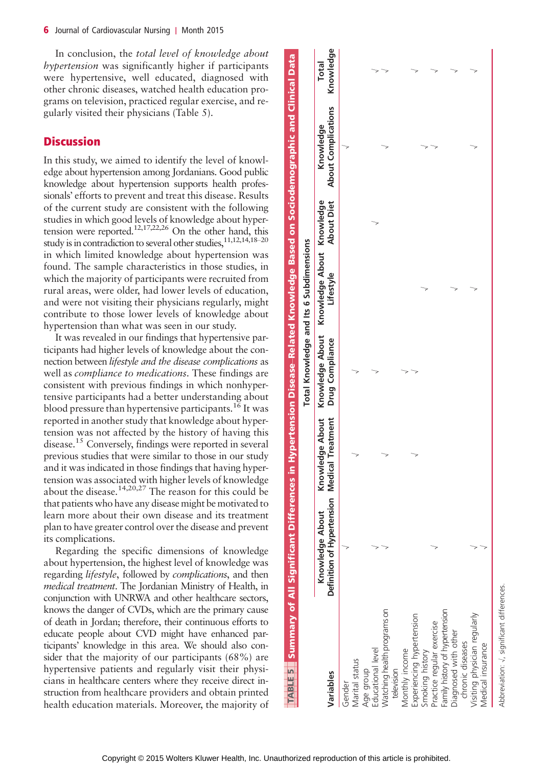In conclusion, the total level of knowledge about hypertension was significantly higher if participants were hypertensive, well educated, diagnosed with other chronic diseases, watched health education programs on television, practiced regular exercise, and regularly visited their physicians (Table 5).

# **Discussion**

In this study, we aimed to identify the level of knowledge about hypertension among Jordanians. Good public knowledge about hypertension supports health professionals' efforts to prevent and treat this disease. Results of the current study are consistent with the following studies in which good levels of knowledge about hypertension were reported.<sup>12,17,22,26</sup> On the other hand, this study is in contradiction to several other studies,  $11,12,14,18-20$ in which limited knowledge about hypertension was found. The sample characteristics in those studies, in which the majority of participants were recruited from rural areas, were older, had lower levels of education, and were not visiting their physicians regularly, might contribute to those lower levels of knowledge about hypertension than what was seen in our study.

It was revealed in our findings that hypertensive participants had higher levels of knowledge about the connection between lifestyle and the disease complications as well as *compliance to medications*. These findings are consistent with previous findings in which nonhypertensive participants had a better understanding about blood pressure than hypertensive participants.<sup>16</sup> It was reported in another study that knowledge about hypertension was not affected by the history of having this disease.<sup>15</sup> Conversely, findings were reported in several previous studies that were similar to those in our study and it was indicated in those findings that having hypertension was associated with higher levels of knowledge about the disease.<sup>14,20,27</sup> The reason for this could be that patients who have any disease might be motivated to learn more about their own disease and its treatment plan to have greater control over the disease and prevent its complications.

Regarding the specific dimensions of knowledge about hypertension, the highest level of knowledge was regarding *lifestyle*, followed by *complications*, and then medical treatment. The Jordanian Ministry of Health, in conjunction with UNRWA and other healthcare sectors, knows the danger of CVDs, which are the primary cause of death in Jordan; therefore, their continuous efforts to educate people about CVD might have enhanced participants' knowledge in this area. We should also consider that the majority of our participants (68%) are hypertensive patients and regularly visit their physicians in healthcare centers where they receive direct instruction from healthcare providers and obtain printed health education materials. Moreover, the majority of



Abbreviation: ¾, significant differences. Abbreviation: \, significant differences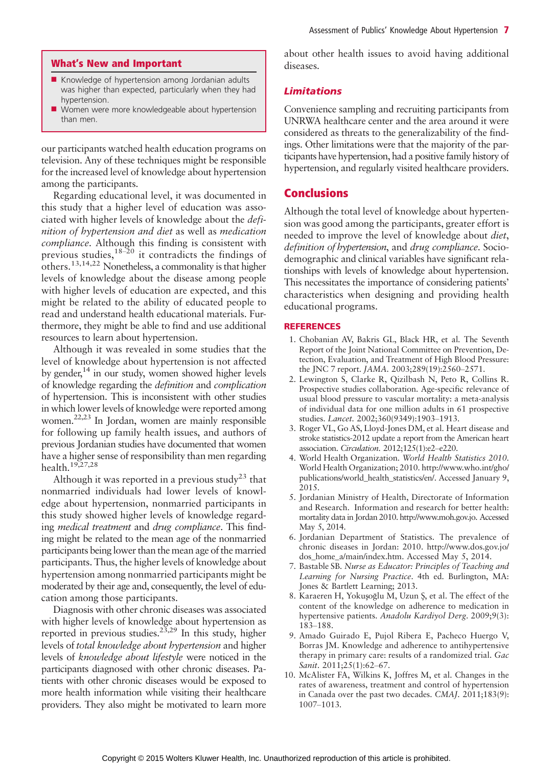#### What's New and Important

- $\blacksquare$  Knowledge of hypertension among Jordanian adults was higher than expected, particularly when they had hypertension.
- Women were more knowledgeable about hypertension than men.

our participants watched health education programs on television. Any of these techniques might be responsible for the increased level of knowledge about hypertension among the participants.

Regarding educational level, it was documented in this study that a higher level of education was associated with higher levels of knowledge about the definition of hypertension and diet as well as medication compliance. Although this finding is consistent with previous studies,  $18-20$  it contradicts the findings of others.13,14,22 Nonetheless, a commonality is that higher levels of knowledge about the disease among people with higher levels of education are expected, and this might be related to the ability of educated people to read and understand health educational materials. Furthermore, they might be able to find and use additional resources to learn about hypertension.

Although it was revealed in some studies that the level of knowledge about hypertension is not affected by gender, $^{14}$  in our study, women showed higher levels of knowledge regarding the definition and complication of hypertension. This is inconsistent with other studies in which lower levels of knowledge were reported among women.22,23 In Jordan, women are mainly responsible for following up family health issues, and authors of previous Jordanian studies have documented that women have a higher sense of responsibility than men regarding health.19,27,28

Although it was reported in a previous study<sup>23</sup> that nonmarried individuals had lower levels of knowledge about hypertension, nonmarried participants in this study showed higher levels of knowledge regarding medical treatment and drug compliance. This finding might be related to the mean age of the nonmarried participants being lower than the mean age of the married participants. Thus, the higher levels of knowledge about hypertension among nonmarried participants might be moderated by their age and, consequently, the level of education among those participants.

Diagnosis with other chronic diseases was associated with higher levels of knowledge about hypertension as reported in previous studies.<sup>23,29</sup> In this study, higher levels of total knowledge about hypertension and higher levels of knowledge about lifestyle were noticed in the participants diagnosed with other chronic diseases. Patients with other chronic diseases would be exposed to more health information while visiting their healthcare providers. They also might be motivated to learn more about other health issues to avoid having additional diseases.

#### Limitations

Convenience sampling and recruiting participants from UNRWA healthcare center and the area around it were considered as threats to the generalizability of the findings. Other limitations were that the majority of the participants have hypertension, had a positive family history of hypertension, and regularly visited healthcare providers.

#### Conclusions

Although the total level of knowledge about hypertension was good among the participants, greater effort is needed to improve the level of knowledge about diet, definition of hypertension, and drug compliance. Sociodemographic and clinical variables have significant relationships with levels of knowledge about hypertension. This necessitates the importance of considering patients' characteristics when designing and providing health educational programs.

#### **REFERENCES**

- 1. Chobanian AV, Bakris GL, Black HR, et al. The Seventh Report of the Joint National Committee on Prevention, Detection, Evaluation, and Treatment of High Blood Pressure: the JNC 7 report. *JAMA*. 2003;289(19):2560-2571.
- 2. Lewington S, Clarke R, Qizilbash N, Peto R, Collins R. Prospective studies collaboration. Age-specific relevance of usual blood pressure to vascular mortality: a meta-analysis of individual data for one million adults in 61 prospective studies. Lancet. 2002;360(9349):1903-1913.
- 3. Roger VL, Go AS, Lloyd-Jones DM, et al. Heart disease and stroke statistics-2012 update a report from the American heart association. Circulation. 2012;125(1):e2-e220.
- 4. World Health Organization. World Health Statistics 2010. World Health Organization; 2010. [http://www.who.int/gho/](http://www.who.int/gho/publications/world_health_statistics/en/) [publications/world\\_health\\_statistics/en/](http://www.who.int/gho/publications/world_health_statistics/en/). Accessed January 9, 2015.
- 5. Jordanian Ministry of Health, Directorate of Information and Research. Information and research for better health: mortality data in Jordan 2010. [http://www.moh.gov.jo.](http://www.moh.gov.jo) Accessed May 5, 2014.
- 6. Jordanian Department of Statistics. The prevalence of chronic diseases in Jordan: 2010. [http://www.dos.gov.jo/](http://www.dos.gov.jo/dos_home_a/main/index.htm) [dos\\_home\\_a/main/index.htm.](http://www.dos.gov.jo/dos_home_a/main/index.htm) Accessed May 5, 2014.
- 7. Bastable SB. Nurse as Educator: Principles of Teaching and Learning for Nursing Practice. 4th ed. Burlington, MA: Jones & Bartlett Learning; 2013.
- 8. Karaeren H, Yokuşoğlu M, Uzun Ş, et al. The effect of the content of the knowledge on adherence to medication in hypertensive patients. Anadolu Kardiyol Derg. 2009;9(3): 183-188.
- 9. Amado Guirado E, Pujol Ribera E, Pacheco Huergo V, Borras JM. Knowledge and adherence to antihypertensive therapy in primary care: results of a randomized trial. Gac Sanit. 2011;25(1):62-67.
- 10. McAlister FA, Wilkins K, Joffres M, et al. Changes in the rates of awareness, treatment and control of hypertension in Canada over the past two decades. CMAJ. 2011;183(9): 1007-1013.